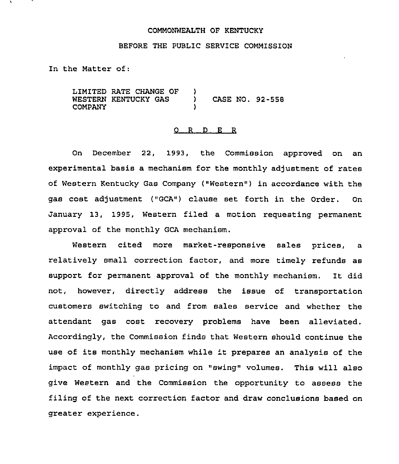## COMMONWEALTH OF KENTUCKY

## BEFORE THE PUBLIC SERVICE COMMISSION

In the Matter of:

LIMITED RATE CHANGE OF WESTERN KENTUCKY GAS COMPANY  $\left\{ \right\}$ ) CASE NO. 92-558 )

## 0 R <sup>D</sup> E R

On December 22, 1993, the Commission approved on an experimental basis a mechanism for the monthly adjustment of rates of Western Kentucky Gas Company ("Western") in accordance with the gas cost adjustment ("GCA") clause set forth in the Order. On January 13, 1995, Western filed a motion requesting permanent approval of the monthly GCA mechanism.

Western cited more market-responsive sales prices, a relatively small correction factor, and more timely refunds as support for permanent approval of the monthly mechanism. It did not, however, directly address the issue of transportation customers switching to and from sales service and whether the attendant gas cost recovery problems have been alleviated. Accordingly, the Commission finds that Western should continue the use of its monthly mechanism while 't prepares an analysis of the impact of monthly gas pricing on "swing" volumes. This will also give Western and the Commission the opportunity to assess the filing of the next correction factor and draw conclusions based on greater experience.